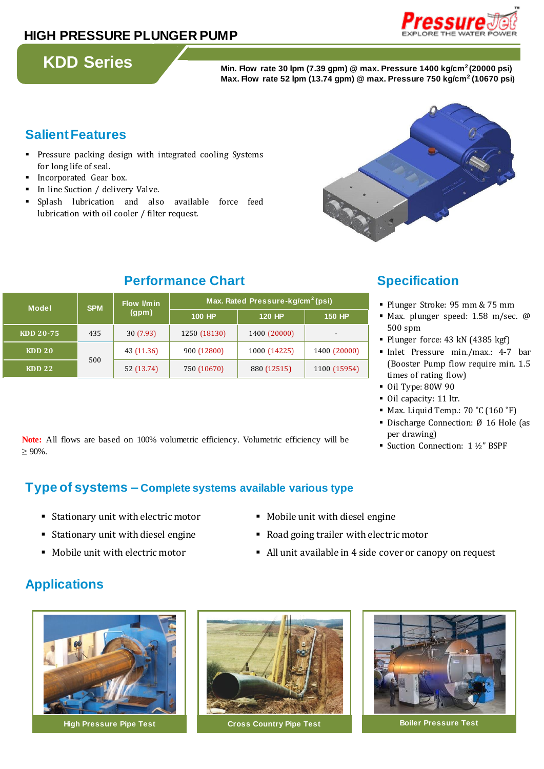### **HIGH PRESSURE PLUNGER PUMP**

**KDD Series Min. Flow rate 30 lpm (7.39 gpm) @ max. Pressure 1400 kg/cm<sup>2</sup>(20000 psi) Max. Flow rate 52 lpm (13.74 gpm) @ max. Pressure 750 kg/cm<sup>2</sup> (10670 psi)**

### **Salient Features**

- **•** Pressure packing design with integrated cooling Systems for long life of seal.
- **Incorporated Gear box.**
- In line Suction / delivery Valve.
- Splash lubrication and also available force feed lubrication with oil cooler / filter request.



### **Performance Chart Specification**

| <b>Model</b>      | <b>SPM</b> | Flow <i>I/min</i><br>(gpm) | Max. Rated Pressure-kg/cm <sup>2</sup> (psi) |               |                          |
|-------------------|------------|----------------------------|----------------------------------------------|---------------|--------------------------|
|                   |            |                            | 100 HP                                       | <b>120 HP</b> | <b>150 HP</b>            |
| KDD 20-75         | 435        | 30(7.93)                   | 1250 (18130)                                 | 1400 (20000)  | $\overline{\phantom{a}}$ |
| KDD <sub>20</sub> | 500        | 43 (11.36)                 | 900 (12800)                                  | 1000 (14225)  | 1400 (20000)             |
| <b>KDD 22</b>     |            | 52 (13.74)                 | 750 (10670)                                  | 880 (12515)   | 1100 (15954)             |

- Plunger Stroke: 95 mm & 75 mm
- Max. plunger speed: 1.58 m/sec. @ 500 spm
- Plunger force: 43 kN (4385 kgf)
- Inlet Pressure min./max.: 4-7 bar (Booster Pump flow require min. 1.5 times of rating flow)
- Oil Type: 80W 90
- Oil capacity: 11 ltr.
- Max. Liquid Temp.: 70 ˚C (160 ˚F)
- Discharge Connection: Ø 16 Hole (as per drawing)
- Suction Connection: 1 ½" BSPF

**Note:** All flows are based on 100% volumetric efficiency. Volumetric efficiency will be  $\geq 90\%$ .

### **Type of systems – Complete systems available various type**

- Stationary unit with electric motor **Mobile unit with diesel engine**
- 
- 
- 
- Stationary unit with diesel engine **•** Road going trailer with electric motor
- Mobile unit with electric motor **ablam** All unit available in 4 side cover or canopy on request

## **Applications**





**High Pressure Pipe Test Cross Country Pipe Test Boiler Pressure Test**